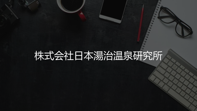# 株式会社日本湯治温泉研究所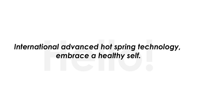## *International advanced hot spring technology, embrace a healthy self.*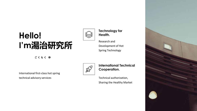## **Hello! I'm湯治研究所**

**ごくらく ゆ**

International first-class hot spring technical advisory services



**Technology for Health.**

Research and Development of Hot Spring Technology

AV

**International Technical Cooperation.**

Technical authorization, Sharing the Healthy Market

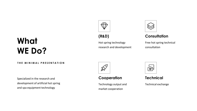## **What WE Do?**

## **(R&D)**

Hot spring technology research and development



### **Consultation**

Free hot spring technical consultation

#### **THE MINIMAL PRESENTATION**

Specialized in the research and development of artificial hot spring and spa equipment technology



#### **Cooperation**

Technology output and market cooperation



#### **Technical**

Technical exchange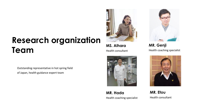## **Research organization Team**

Outstanding representative in hot spring field of Japan, health guidance expert team

**MS. Alhara** Health consultant



**MR. Hada** Health coaching specialist



**MR. Genji** Health coaching specialist



**MR. Etou** Health consultant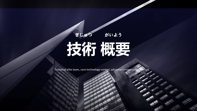# **技術 概要 ぎじゅつ がいよう**

Technical elite team, core technology control, advanced cooperation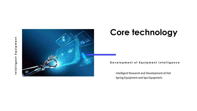



## **Core technology**

#### Development of Equipment Intelligence

Intelligent Research and Development of Hot Spring Equipment and Spa Equipment.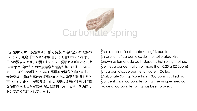

"炭酸泉"とは、炭酸ガス(二酸化炭素)が溶け込んだお湯の ことで、別名「ラムネのお風呂」とも言われています。 日本の温泉法では、お湯1リットルに炭酸ガスが0.25g以上 (250ppm)溶けたものが炭酸泉と定義されており、その中 でも、1000ppm以上のものを高濃度炭酸泉と言います。 炭酸泉は、濃度が高ければ高いほどその効果を発揮すると 言われています。炭酸泉は、他の温泉には無い独自で明確 な作用があることが医学的にも証明されており、各方面に おいて広く活用されています.

The so-called "carbonate spring" is due to the dissolution of carbon dioxide into hot water. Also known as lemonade bath. Japan's hot spring method defines a concentration of more than 0.25 g (250ppm) of carbon dioxide per liter of water , Called Carbonate Spring. More than 1000 ppm is called high concentration carbonate spring. The unique medical value of carbonate spring has been proved.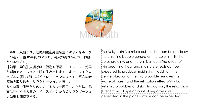

ミルキー風呂とは、超微細気泡発生装置によりできるミク ロの泡で、色 は牛乳 のようだ、毛穴の汚れがとれ、お肌 がつるつるに。

【効果・効能】皮膚呼吸の促進や保温、モイスチャー効果 が期待でき、しっとり肌を生み出します。また、マイクロ バブルの優しく強いバイブレーションによって、毛穴の老 廃物を取り除き、リラクゼーション効果も。

ミクロ泡で肌当たりのいい「ミルキー風呂」。さらに、湯 面に発生する大量のマイナスイオンからのリラクゼーショ ン効果も期待できる。

The Milky bath is a micro bubble that can be made by the ultra fine bubble generator, the color is milk, the pores are dirty, and the skin is smooth.The effect of skin breathing, heat and moisture effects can be expected to produce moist skin. In addition, the gentle vibration of the micro bubble removes the waste of pores, and the relaxation effect.Milky bath with micro bubbles and skin. In addition, the relaxation effect from a large amount of negative ions generated in the plane surface can be expected.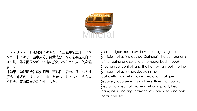

インテリジェント化研究によると,人工温泉装置【スプリ ンガー】により、温泉成分、硫黄成分、などを機械制御に より均一化を図りながら浴槽に投入し作られた人工的な温 泉です。

【効果・効能期待】疲労回復、荒れ性、肩のこり、冷え性、 腰痛、神経痛、リウマチ、痔、あせも、しっしん、うちみ、 くじき、産前産後の冷え性 など。

The intelligent research shows that by using the artificial hot spring device [Springer], the components of hot spring and sulfur are homogenized through mechanical control, and the hot spring is put into the artificial hot spring produced in the bath.[efficacy · efficacy expectation] fatigue recovery, coarseness, shoulder stiffness, lumbago, neuralgia, rheumatism, hemorrhoids, prickly heat, dampness, knotting, drawing lots, pre natal and post natal chill, etc.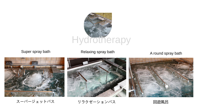

Super spray bath **Relaxing spray bath** A round spray bath







スーパージェットバス リラクゼーションバス 回遊風呂

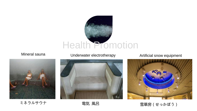

Mineral sauna



ミネラルサウナ さんのう 電気風呂

Underwater electrotherapy **Artificial snow equipment** 





雪華房(せっかぼう)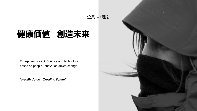

## **健康価値 創造未来**

Enterprise concept: Science and technology based on people, innovation driven change.

*"Health Value Creating Future"*